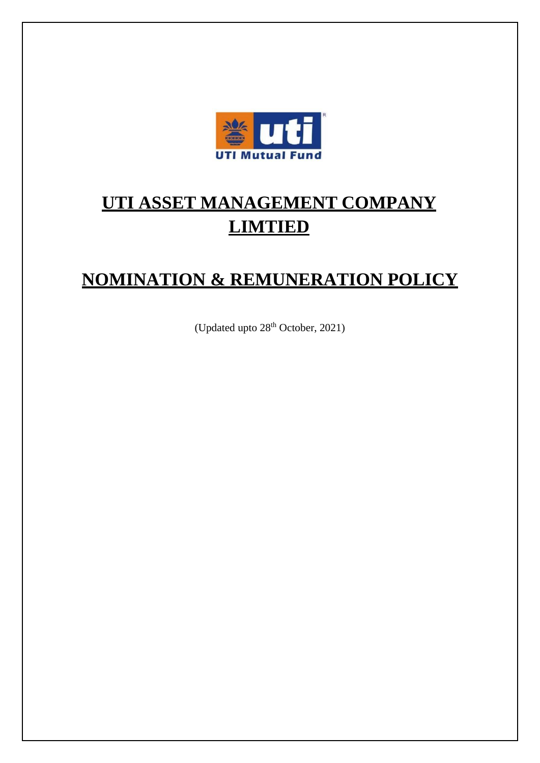

# **UTI ASSET MANAGEMENT COMPANY LIMTIED**

# **NOMINATION & REMUNERATION POLICY**

(Updated upto 28<sup>th</sup> October, 2021)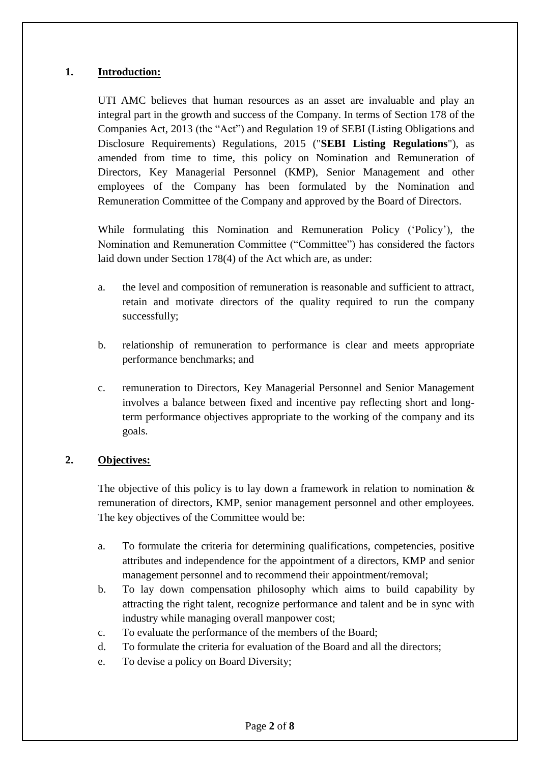#### **1. Introduction:**

UTI AMC believes that human resources as an asset are invaluable and play an integral part in the growth and success of the Company. In terms of Section 178 of the Companies Act, 2013 (the "Act") and Regulation 19 of SEBI (Listing Obligations and Disclosure Requirements) Regulations, 2015 ("**SEBI Listing Regulations**"), as amended from time to time, this policy on Nomination and Remuneration of Directors, Key Managerial Personnel (KMP), Senior Management and other employees of the Company has been formulated by the Nomination and Remuneration Committee of the Company and approved by the Board of Directors.

While formulating this Nomination and Remuneration Policy ('Policy'), the Nomination and Remuneration Committee ("Committee") has considered the factors laid down under Section 178(4) of the Act which are, as under:

- a. the level and composition of remuneration is reasonable and sufficient to attract, retain and motivate directors of the quality required to run the company successfully;
- b. relationship of remuneration to performance is clear and meets appropriate performance benchmarks; and
- c. remuneration to Directors, Key Managerial Personnel and Senior Management involves a balance between fixed and incentive pay reflecting short and longterm performance objectives appropriate to the working of the company and its goals.

#### **2. Objectives:**

The objective of this policy is to lay down a framework in relation to nomination  $\&$ remuneration of directors, KMP, senior management personnel and other employees. The key objectives of the Committee would be:

- a. To formulate the criteria for determining qualifications, competencies, positive attributes and independence for the appointment of a directors, KMP and senior management personnel and to recommend their appointment/removal;
- b. To lay down compensation philosophy which aims to build capability by attracting the right talent, recognize performance and talent and be in sync with industry while managing overall manpower cost;
- c. To evaluate the performance of the members of the Board;
- d. To formulate the criteria for evaluation of the Board and all the directors;
- e. To devise a policy on Board Diversity;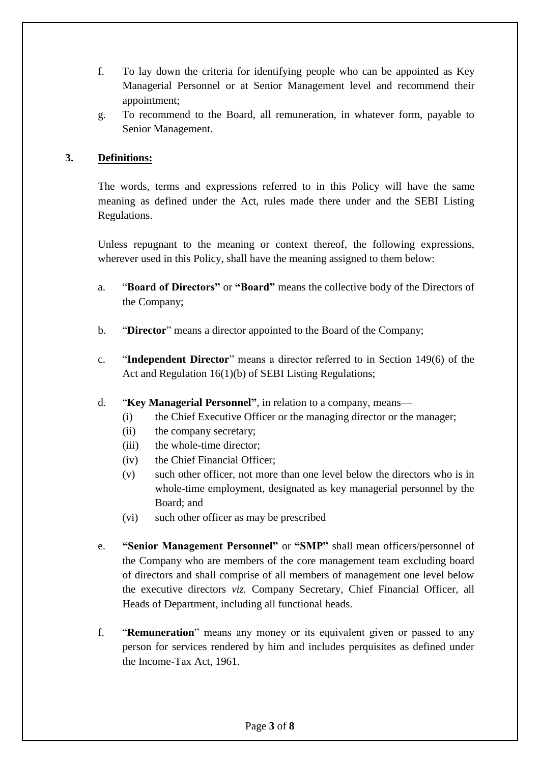- f. To lay down the criteria for identifying people who can be appointed as Key Managerial Personnel or at Senior Management level and recommend their appointment;
- g. To recommend to the Board, all remuneration, in whatever form, payable to Senior Management.

### **3. Definitions:**

The words, terms and expressions referred to in this Policy will have the same meaning as defined under the Act, rules made there under and the SEBI Listing Regulations.

Unless repugnant to the meaning or context thereof, the following expressions, wherever used in this Policy, shall have the meaning assigned to them below:

- a. "**Board of Directors"** or **"Board"** means the collective body of the Directors of the Company;
- b. "**Director**" means a director appointed to the Board of the Company;
- c. "**Independent Director**" means a director referred to in Section 149(6) of the Act and Regulation 16(1)(b) of SEBI Listing Regulations;
- d. "**Key Managerial Personnel"**, in relation to a company, means—
	- (i) the Chief Executive Officer or the managing director or the manager;
	- (ii) the company secretary;
	- (iii) the whole-time director;
	- (iv) the Chief Financial Officer;
	- (v) such other officer, not more than one level below the directors who is in whole-time employment, designated as key managerial personnel by the Board; and
	- (vi) such other officer as may be prescribed
- e. **"Senior Management Personnel"** or **"SMP"** shall mean officers/personnel of the Company who are members of the core management team excluding board of directors and shall comprise of all members of management one level below the executive directors *viz.* Company Secretary, Chief Financial Officer, all Heads of Department, including all functional heads.
- f. "**Remuneration**" means any money or its equivalent given or passed to any person for services rendered by him and includes perquisites as defined under the Income-Tax Act, 1961.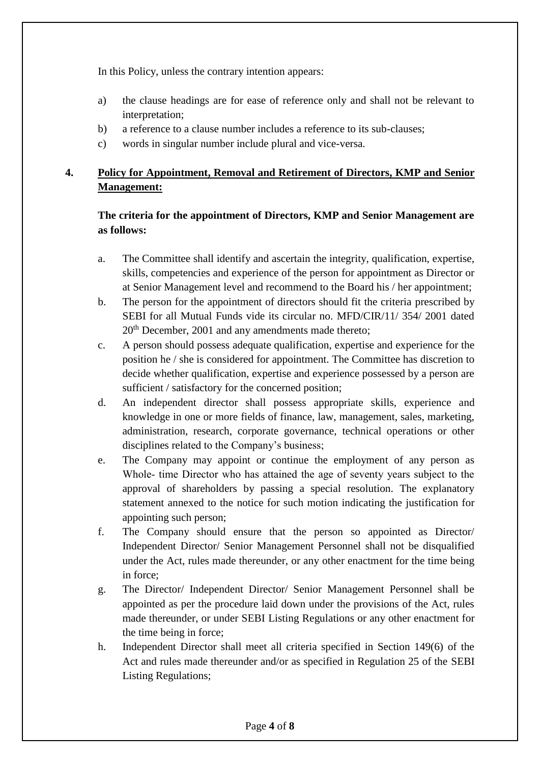In this Policy, unless the contrary intention appears:

- a) the clause headings are for ease of reference only and shall not be relevant to interpretation;
- b) a reference to a clause number includes a reference to its sub-clauses;
- c) words in singular number include plural and vice-versa.

# **4. Policy for Appointment, Removal and Retirement of Directors, KMP and Senior Management:**

### **The criteria for the appointment of Directors, KMP and Senior Management are as follows:**

- a. The Committee shall identify and ascertain the integrity, qualification, expertise, skills, competencies and experience of the person for appointment as Director or at Senior Management level and recommend to the Board his / her appointment;
- b. The person for the appointment of directors should fit the criteria prescribed by SEBI for all Mutual Funds vide its circular no. MFD/CIR/11/ 354/ 2001 dated 20<sup>th</sup> December, 2001 and any amendments made thereto;
- c. A person should possess adequate qualification, expertise and experience for the position he / she is considered for appointment. The Committee has discretion to decide whether qualification, expertise and experience possessed by a person are sufficient / satisfactory for the concerned position;
- d. An independent director shall possess appropriate skills, experience and knowledge in one or more fields of finance, law, management, sales, marketing, administration, research, corporate governance, technical operations or other disciplines related to the Company's business;
- e. The Company may appoint or continue the employment of any person as Whole- time Director who has attained the age of seventy years subject to the approval of shareholders by passing a special resolution. The explanatory statement annexed to the notice for such motion indicating the justification for appointing such person;
- f. The Company should ensure that the person so appointed as Director/ Independent Director/ Senior Management Personnel shall not be disqualified under the Act, rules made thereunder, or any other enactment for the time being in force;
- g. The Director/ Independent Director/ Senior Management Personnel shall be appointed as per the procedure laid down under the provisions of the Act, rules made thereunder, or under SEBI Listing Regulations or any other enactment for the time being in force;
- h. Independent Director shall meet all criteria specified in Section 149(6) of the Act and rules made thereunder and/or as specified in Regulation 25 of the SEBI Listing Regulations;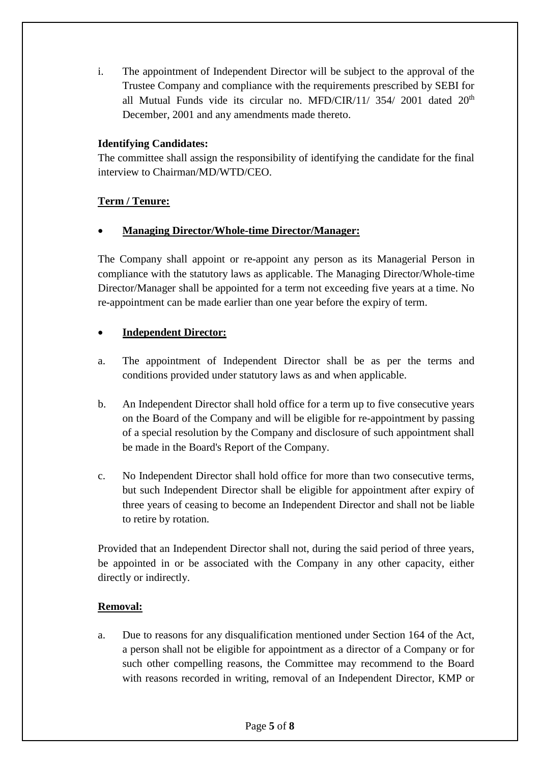i. The appointment of Independent Director will be subject to the approval of the Trustee Company and compliance with the requirements prescribed by SEBI for all Mutual Funds vide its circular no. MFD/CIR/11/  $354/2001$  dated  $20<sup>th</sup>$ December, 2001 and any amendments made thereto.

#### **Identifying Candidates:**

The committee shall assign the responsibility of identifying the candidate for the final interview to Chairman/MD/WTD/CEO.

#### **Term / Tenure:**

#### **Managing Director/Whole-time Director/Manager:**

The Company shall appoint or re-appoint any person as its Managerial Person in compliance with the statutory laws as applicable. The Managing Director/Whole-time Director/Manager shall be appointed for a term not exceeding five years at a time. No re-appointment can be made earlier than one year before the expiry of term.

#### **Independent Director:**

- a. The appointment of Independent Director shall be as per the terms and conditions provided under statutory laws as and when applicable.
- b. An Independent Director shall hold office for a term up to five consecutive years on the Board of the Company and will be eligible for re-appointment by passing of a special resolution by the Company and disclosure of such appointment shall be made in the Board's Report of the Company.
- c. No Independent Director shall hold office for more than two consecutive terms, but such Independent Director shall be eligible for appointment after expiry of three years of ceasing to become an Independent Director and shall not be liable to retire by rotation.

Provided that an Independent Director shall not, during the said period of three years, be appointed in or be associated with the Company in any other capacity, either directly or indirectly.

#### **Removal:**

a. Due to reasons for any disqualification mentioned under Section 164 of the Act, a person shall not be eligible for appointment as a director of a Company or for such other compelling reasons, the Committee may recommend to the Board with reasons recorded in writing, removal of an Independent Director, KMP or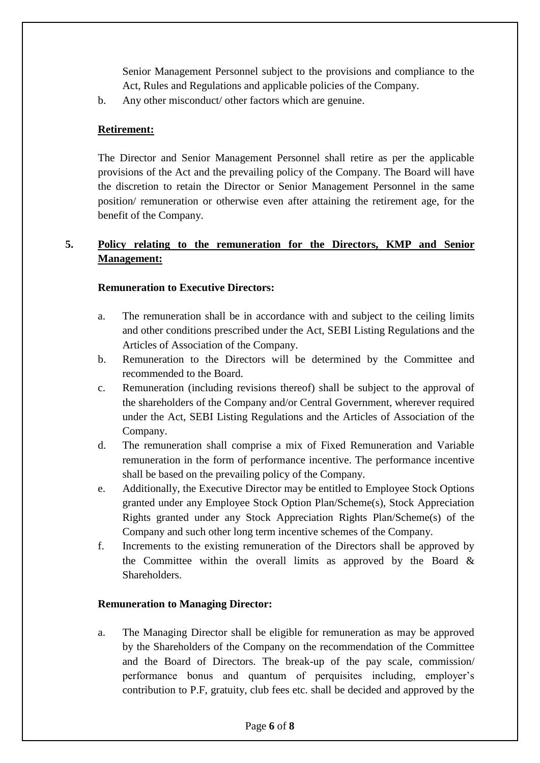Senior Management Personnel subject to the provisions and compliance to the Act, Rules and Regulations and applicable policies of the Company.

b. Any other misconduct/ other factors which are genuine.

#### **Retirement:**

The Director and Senior Management Personnel shall retire as per the applicable provisions of the Act and the prevailing policy of the Company. The Board will have the discretion to retain the Director or Senior Management Personnel in the same position/ remuneration or otherwise even after attaining the retirement age, for the benefit of the Company.

## **5. Policy relating to the remuneration for the Directors, KMP and Senior Management:**

#### **Remuneration to Executive Directors:**

- a. The remuneration shall be in accordance with and subject to the ceiling limits and other conditions prescribed under the Act, SEBI Listing Regulations and the Articles of Association of the Company.
- b. Remuneration to the Directors will be determined by the Committee and recommended to the Board.
- c. Remuneration (including revisions thereof) shall be subject to the approval of the shareholders of the Company and/or Central Government, wherever required under the Act, SEBI Listing Regulations and the Articles of Association of the Company.
- d. The remuneration shall comprise a mix of Fixed Remuneration and Variable remuneration in the form of performance incentive. The performance incentive shall be based on the prevailing policy of the Company.
- e. Additionally, the Executive Director may be entitled to Employee Stock Options granted under any Employee Stock Option Plan/Scheme(s), Stock Appreciation Rights granted under any Stock Appreciation Rights Plan/Scheme(s) of the Company and such other long term incentive schemes of the Company.
- f. Increments to the existing remuneration of the Directors shall be approved by the Committee within the overall limits as approved by the Board  $\&$ Shareholders.

#### **Remuneration to Managing Director:**

a. The Managing Director shall be eligible for remuneration as may be approved by the Shareholders of the Company on the recommendation of the Committee and the Board of Directors. The break-up of the pay scale, commission/ performance bonus and quantum of perquisites including, employer's contribution to P.F, gratuity, club fees etc. shall be decided and approved by the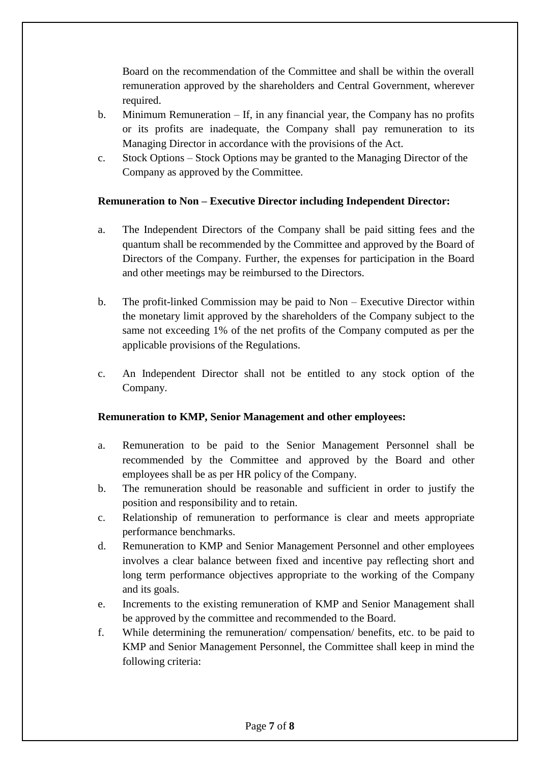Board on the recommendation of the Committee and shall be within the overall remuneration approved by the shareholders and Central Government, wherever required.

- b. Minimum Remuneration If, in any financial year, the Company has no profits or its profits are inadequate, the Company shall pay remuneration to its Managing Director in accordance with the provisions of the Act.
- c. Stock Options Stock Options may be granted to the Managing Director of the Company as approved by the Committee.

#### **Remuneration to Non – Executive Director including Independent Director:**

- a. The Independent Directors of the Company shall be paid sitting fees and the quantum shall be recommended by the Committee and approved by the Board of Directors of the Company. Further, the expenses for participation in the Board and other meetings may be reimbursed to the Directors.
- b. The profit-linked Commission may be paid to Non Executive Director within the monetary limit approved by the shareholders of the Company subject to the same not exceeding 1% of the net profits of the Company computed as per the applicable provisions of the Regulations.
- c. An Independent Director shall not be entitled to any stock option of the Company.

#### **Remuneration to KMP, Senior Management and other employees:**

- a. Remuneration to be paid to the Senior Management Personnel shall be recommended by the Committee and approved by the Board and other employees shall be as per HR policy of the Company.
- b. The remuneration should be reasonable and sufficient in order to justify the position and responsibility and to retain.
- c. Relationship of remuneration to performance is clear and meets appropriate performance benchmarks.
- d. Remuneration to KMP and Senior Management Personnel and other employees involves a clear balance between fixed and incentive pay reflecting short and long term performance objectives appropriate to the working of the Company and its goals.
- e. Increments to the existing remuneration of KMP and Senior Management shall be approved by the committee and recommended to the Board.
- f. While determining the remuneration/ compensation/ benefits, etc. to be paid to KMP and Senior Management Personnel, the Committee shall keep in mind the following criteria: